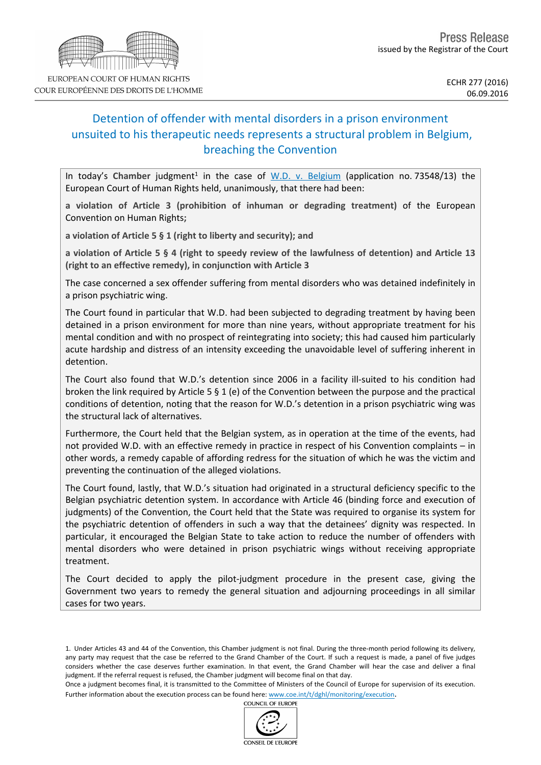# Detention of offender with mental disorders in a prison environment unsuited to his therapeutic needs represents a structural problem in Belgium, breaching the Convention

In today's Chamber judgment<sup>1</sup> in the case of [W.D.](http://hudoc.echr.coe.int/eng?i=001-166489) [v.](http://hudoc.echr.coe.int/eng?i=001-166489) [Belgium](http://hudoc.echr.coe.int/eng?i=001-166489) (application no. 73548/13) the European Court of Human Rights held, unanimously, that there had been:

**a violation of Article 3 (prohibition of inhuman or degrading treatment)** of the European Convention on Human Rights**;**

**a violation of Article 5 § 1 (right to liberty and security); and**

a violation of Article 5 § 4 (right to speedy review of the lawfulness of detention) and Article 13 **(right to an effective remedy), in conjunction with Article 3**

The case concerned a sex offender suffering from mental disorders who was detained indefinitely in a prison psychiatric wing.

The Court found in particular that W.D. had been subjected to degrading treatment by having been detained in a prison environment for more than nine years, without appropriate treatment for his mental condition and with no prospect of reintegrating into society; this had caused him particularly acute hardship and distress of an intensity exceeding the unavoidable level of suffering inherent in detention.

The Court also found that W.D.'s detention since 2006 in a facility ill-suited to his condition had broken the link required by Article 5 § 1 (e) of the Convention between the purpose and the practical conditions of detention, noting that the reason for W.D.'s detention in a prison psychiatric wing was the structural lack of alternatives.

Furthermore, the Court held that the Belgian system, as in operation at the time of the events, had not provided W.D. with an effective remedy in practice in respect of his Convention complaints – in other words, a remedy capable of affording redress for the situation of which he was the victim and preventing the continuation of the alleged violations.

The Court found, lastly, that W.D.'s situation had originated in a structural deficiency specific to the Belgian psychiatric detention system. In accordance with Article 46 (binding force and execution of judgments) of the Convention, the Court held that the State was required to organise its system for the psychiatric detention of offenders in such a way that the detainees' dignity was respected. In particular, it encouraged the Belgian State to take action to reduce the number of offenders with mental disorders who were detained in prison psychiatric wings without receiving appropriate treatment.

The Court decided to apply the pilot-judgment procedure in the present case, giving the Government two years to remedy the general situation and adjourning proceedings in all similar cases for two years.

COUNCIL OF EUROPE



<sup>1.</sup> Under Articles 43 and 44 of the Convention, this Chamber judgment is not final. During the three-month period following its delivery, any party may request that the case be referred to the Grand Chamber of the Court. If such a request is made, a panel of five judges considers whether the case deserves further examination. In that event, the Grand Chamber will hear the case and deliver a final judgment. If the referral request is refused, the Chamber judgment will become final on that day.

Once a judgment becomes final, it is transmitted to the Committee of Ministers of the Council of Europe for supervision of its execution. Further information about the execution process can be found here: [www.coe.int/t/dghl/monitoring/execution](http://www.coe.int/t/dghl/monitoring/execution).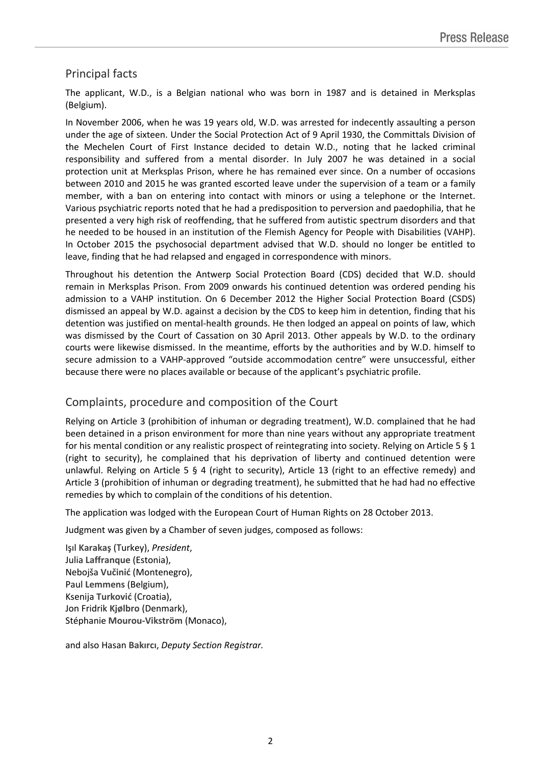### Principal facts

The applicant, W.D., is a Belgian national who was born in 1987 and is detained in Merksplas (Belgium).

In November 2006, when he was 19 years old, W.D. was arrested for indecently assaulting a person under the age of sixteen. Under the Social Protection Act of 9 April 1930, the Committals Division of the Mechelen Court of First Instance decided to detain W.D., noting that he lacked criminal responsibility and suffered from a mental disorder. In July 2007 he was detained in a social protection unit at Merksplas Prison, where he has remained ever since. On a number of occasions between 2010 and 2015 he was granted escorted leave under the supervision of a team or a family member, with a ban on entering into contact with minors or using a telephone or the Internet. Various psychiatric reports noted that he had a predisposition to perversion and paedophilia, that he presented a very high risk of reoffending, that he suffered from autistic spectrum disorders and that he needed to be housed in an institution of the Flemish Agency for People with Disabilities (VAHP). In October 2015 the psychosocial department advised that W.D. should no longer be entitled to leave, finding that he had relapsed and engaged in correspondence with minors.

Throughout his detention the Antwerp Social Protection Board (CDS) decided that W.D. should remain in Merksplas Prison. From 2009 onwards his continued detention was ordered pending his admission to a VAHP institution. On 6 December 2012 the Higher Social Protection Board (CSDS) dismissed an appeal by W.D. against a decision by the CDS to keep him in detention, finding that his detention was justified on mental-health grounds. He then lodged an appeal on points of law, which was dismissed by the Court of Cassation on 30 April 2013. Other appeals by W.D. to the ordinary courts were likewise dismissed. In the meantime, efforts by the authorities and by W.D. himself to secure admission to a VAHP-approved "outside accommodation centre" were unsuccessful, either because there were no places available or because of the applicant's psychiatric profile.

### Complaints, procedure and composition of the Court

Relying on Article 3 (prohibition of inhuman or degrading treatment), W.D. complained that he had been detained in a prison environment for more than nine years without any appropriate treatment for his mental condition or any realistic prospect of reintegrating into society. Relying on Article 5 § 1 (right to security), he complained that his deprivation of liberty and continued detention were unlawful. Relying on Article 5 § 4 (right to security), Article 13 (right to an effective remedy) and Article 3 (prohibition of inhuman or degrading treatment), he submitted that he had had no effective remedies by which to complain of the conditions of his detention.

The application was lodged with the European Court of Human Rights on 28 October 2013.

Judgment was given by a Chamber of seven judges, composed as follows:

Işıl **Karakaş** (Turkey), *President*, Julia **Laffranque** (Estonia), Nebojša **Vučinić** (Montenegro), Paul **Lemmens** (Belgium), Ksenija **Turković** (Croatia), Jon Fridrik **Kjølbro** (Denmark), Stéphanie **Mourou-Vikström** (Monaco),

and also Hasan **Bakırcı**, *Deputy Section Registrar.*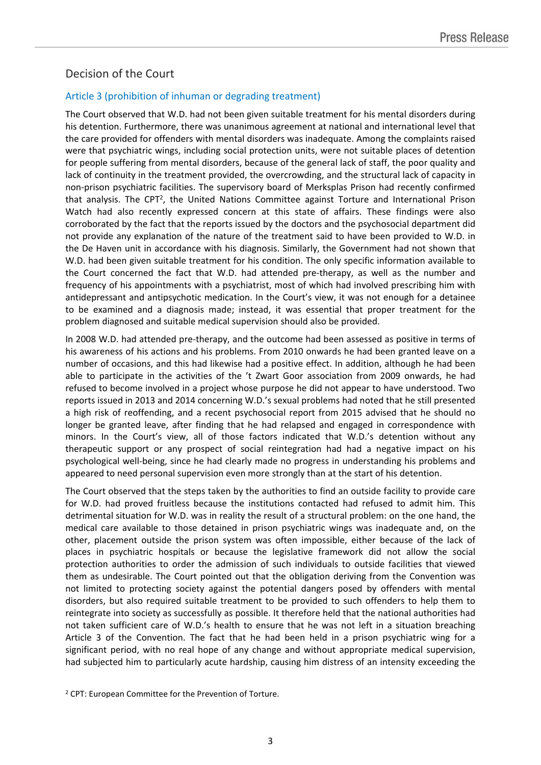## Decision of the Court

### Article 3 (prohibition of inhuman or degrading treatment)

The Court observed that W.D. had not been given suitable treatment for his mental disorders during his detention. Furthermore, there was unanimous agreement at national and international level that the care provided for offenders with mental disorders was inadequate. Among the complaints raised were that psychiatric wings, including social protection units, were not suitable places of detention for people suffering from mental disorders, because of the general lack of staff, the poor quality and lack of continuity in the treatment provided, the overcrowding, and the structural lack of capacity in non-prison psychiatric facilities. The supervisory board of Merksplas Prison had recently confirmed that analysis. The CPT<sup>2</sup>, the United Nations Committee against Torture and International Prison Watch had also recently expressed concern at this state of affairs. These findings were also corroborated by the fact that the reports issued by the doctors and the psychosocial department did not provide any explanation of the nature of the treatment said to have been provided to W.D. in the De Haven unit in accordance with his diagnosis. Similarly, the Government had not shown that W.D. had been given suitable treatment for his condition. The only specific information available to the Court concerned the fact that W.D. had attended pre-therapy, as well as the number and frequency of his appointments with a psychiatrist, most of which had involved prescribing him with antidepressant and antipsychotic medication. In the Court's view, it was not enough for a detainee to be examined and a diagnosis made; instead, it was essential that proper treatment for the problem diagnosed and suitable medical supervision should also be provided.

In 2008 W.D. had attended pre-therapy, and the outcome had been assessed as positive in terms of his awareness of his actions and his problems. From 2010 onwards he had been granted leave on a number of occasions, and this had likewise had a positive effect. In addition, although he had been able to participate in the activities of the 't Zwart Goor association from 2009 onwards, he had refused to become involved in a project whose purpose he did not appear to have understood. Two reports issued in 2013 and 2014 concerning W.D.'s sexual problems had noted that he still presented a high risk of reoffending, and a recent psychosocial report from 2015 advised that he should no longer be granted leave, after finding that he had relapsed and engaged in correspondence with minors. In the Court's view, all of those factors indicated that W.D.'s detention without any therapeutic support or any prospect of social reintegration had had a negative impact on his psychological well-being, since he had clearly made no progress in understanding his problems and appeared to need personal supervision even more strongly than at the start of his detention.

The Court observed that the steps taken by the authorities to find an outside facility to provide care for W.D. had proved fruitless because the institutions contacted had refused to admit him. This detrimental situation for W.D. was in reality the result of a structural problem: on the one hand, the medical care available to those detained in prison psychiatric wings was inadequate and, on the other, placement outside the prison system was often impossible, either because of the lack of places in psychiatric hospitals or because the legislative framework did not allow the social protection authorities to order the admission of such individuals to outside facilities that viewed them as undesirable. The Court pointed out that the obligation deriving from the Convention was not limited to protecting society against the potential dangers posed by offenders with mental disorders, but also required suitable treatment to be provided to such offenders to help them to reintegrate into society as successfully as possible. It therefore held that the national authorities had not taken sufficient care of W.D.'s health to ensure that he was not left in a situation breaching Article 3 of the Convention. The fact that he had been held in a prison psychiatric wing for a significant period, with no real hope of any change and without appropriate medical supervision, had subjected him to particularly acute hardship, causing him distress of an intensity exceeding the

<sup>2</sup> CPT: European Committee for the Prevention of Torture.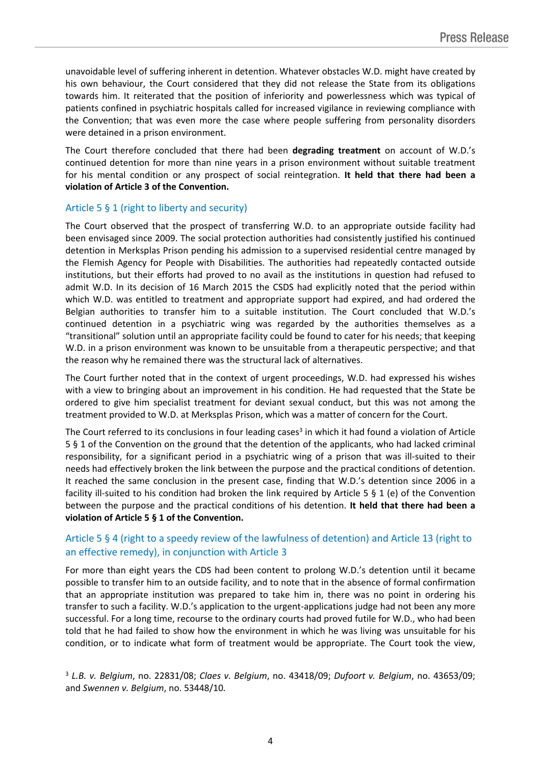unavoidable level of suffering inherent in detention. Whatever obstacles W.D. might have created by his own behaviour, the Court considered that they did not release the State from its obligations towards him. It reiterated that the position of inferiority and powerlessness which was typical of patients confined in psychiatric hospitals called for increased vigilance in reviewing compliance with the Convention; that was even more the case where people suffering from personality disorders were detained in a prison environment.

The Court therefore concluded that there had been **degrading treatment** on account of W.D.'s continued detention for more than nine years in a prison environment without suitable treatment for his mental condition or any prospect of social reintegration. **It held that there had been a violation of Article 3 of the Convention.**

#### Article 5 § 1 (right to liberty and security)

The Court observed that the prospect of transferring W.D. to an appropriate outside facility had been envisaged since 2009. The social protection authorities had consistently justified his continued detention in Merksplas Prison pending his admission to a supervised residential centre managed by the Flemish Agency for People with Disabilities. The authorities had repeatedly contacted outside institutions, but their efforts had proved to no avail as the institutions in question had refused to admit W.D. In its decision of 16 March 2015 the CSDS had explicitly noted that the period within which W.D. was entitled to treatment and appropriate support had expired, and had ordered the Belgian authorities to transfer him to a suitable institution. The Court concluded that W.D.'s continued detention in a psychiatric wing was regarded by the authorities themselves as a "transitional" solution until an appropriate facility could be found to cater for his needs; that keeping W.D. in a prison environment was known to be unsuitable from a therapeutic perspective; and that the reason why he remained there was the structural lack of alternatives.

The Court further noted that in the context of urgent proceedings, W.D. had expressed his wishes with a view to bringing about an improvement in his condition. He had requested that the State be ordered to give him specialist treatment for deviant sexual conduct, but this was not among the treatment provided to W.D. at Merksplas Prison, which was a matter of concern for the Court.

The Court referred to its conclusions in four leading cases<sup>3</sup> in which it had found a violation of Article 5 § 1 of the Convention on the ground that the detention of the applicants, who had lacked criminal responsibility, for a significant period in a psychiatric wing of a prison that was ill-suited to their needs had effectively broken the link between the purpose and the practical conditions of detention. It reached the same conclusion in the present case, finding that W.D.'s detention since 2006 in a facility ill-suited to his condition had broken the link required by Article 5 § 1 (e) of the Convention between the purpose and the practical conditions of his detention. **It held that there had been a violation of Article 5 § 1 of the Convention.**

### Article 5 § 4 (right to a speedy review of the lawfulness of detention) and Article 13 (right to an effective remedy), in conjunction with Article 3

For more than eight years the CDS had been content to prolong W.D.'s detention until it became possible to transfer him to an outside facility, and to note that in the absence of formal confirmation that an appropriate institution was prepared to take him in, there was no point in ordering his transfer to such a facility. W.D.'s application to the urgent-applications judge had not been any more successful. For a long time, recourse to the ordinary courts had proved futile for W.D., who had been told that he had failed to show how the environment in which he was living was unsuitable for his condition, or to indicate what form of treatment would be appropriate. The Court took the view,

<sup>3</sup> *L.B. v. Belgium*, no. 22831/08; *Claes v. Belgium*, no. 43418/09; *Dufoort v. Belgium*, no. 43653/09; and *Swennen v. Belgium*, no. 53448/10*.*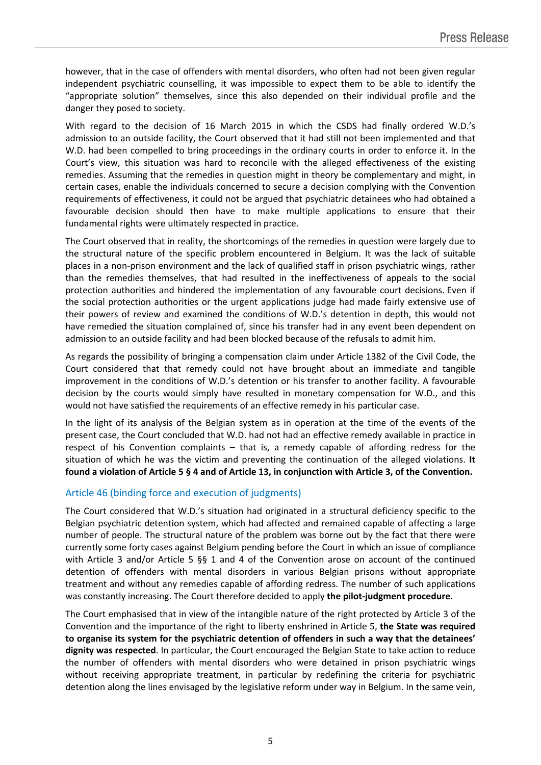however, that in the case of offenders with mental disorders, who often had not been given regular independent psychiatric counselling, it was impossible to expect them to be able to identify the "appropriate solution" themselves, since this also depended on their individual profile and the danger they posed to society.

With regard to the decision of 16 March 2015 in which the CSDS had finally ordered W.D.'s admission to an outside facility, the Court observed that it had still not been implemented and that W.D. had been compelled to bring proceedings in the ordinary courts in order to enforce it. In the Court's view, this situation was hard to reconcile with the alleged effectiveness of the existing remedies. Assuming that the remedies in question might in theory be complementary and might, in certain cases, enable the individuals concerned to secure a decision complying with the Convention requirements of effectiveness, it could not be argued that psychiatric detainees who had obtained a favourable decision should then have to make multiple applications to ensure that their fundamental rights were ultimately respected in practice.

The Court observed that in reality, the shortcomings of the remedies in question were largely due to the structural nature of the specific problem encountered in Belgium. It was the lack of suitable places in a non-prison environment and the lack of qualified staff in prison psychiatric wings, rather than the remedies themselves, that had resulted in the ineffectiveness of appeals to the social protection authorities and hindered the implementation of any favourable court decisions. Even if the social protection authorities or the urgent applications judge had made fairly extensive use of their powers of review and examined the conditions of W.D.'s detention in depth, this would not have remedied the situation complained of, since his transfer had in any event been dependent on admission to an outside facility and had been blocked because of the refusals to admit him.

As regards the possibility of bringing a compensation claim under Article 1382 of the Civil Code, the Court considered that that remedy could not have brought about an immediate and tangible improvement in the conditions of W.D.'s detention or his transfer to another facility. A favourable decision by the courts would simply have resulted in monetary compensation for W.D., and this would not have satisfied the requirements of an effective remedy in his particular case.

In the light of its analysis of the Belgian system as in operation at the time of the events of the present case, the Court concluded that W.D. had not had an effective remedy available in practice in respect of his Convention complaints – that is, a remedy capable of affording redress for the situation of which he was the victim and preventing the continuation of the alleged violations. **It** found a violation of Article 5 § 4 and of Article 13, in conjunction with Article 3, of the Convention.

#### Article 46 (binding force and execution of judgments)

The Court considered that W.D.'s situation had originated in a structural deficiency specific to the Belgian psychiatric detention system, which had affected and remained capable of affecting a large number of people. The structural nature of the problem was borne out by the fact that there were currently some forty cases against Belgium pending before the Court in which an issue of compliance with Article 3 and/or Article 5 §§ 1 and 4 of the Convention arose on account of the continued detention of offenders with mental disorders in various Belgian prisons without appropriate treatment and without any remedies capable of affording redress. The number of such applications was constantly increasing. The Court therefore decided to apply **the pilot-judgment procedure.**

The Court emphasised that in view of the intangible nature of the right protected by Article 3 of the Convention and the importance of the right to liberty enshrined in Article 5, **the State was required to organise its system for the psychiatric detention of offenders in such a way that the detainees' dignity was respected**. In particular, the Court encouraged the Belgian State to take action to reduce the number of offenders with mental disorders who were detained in prison psychiatric wings without receiving appropriate treatment, in particular by redefining the criteria for psychiatric detention along the lines envisaged by the legislative reform under way in Belgium. In the same vein,